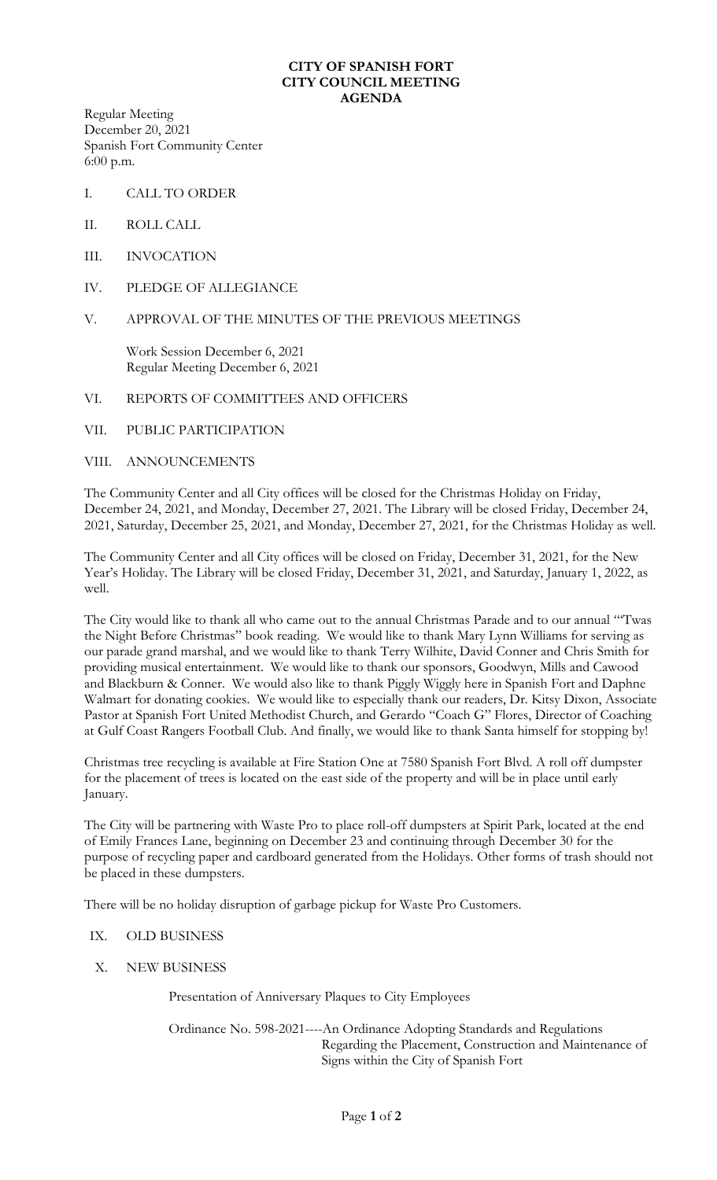# **CITY OF SPANISH FORT CITY COUNCIL MEETING AGENDA**

Regular Meeting December 20, 2021 Spanish Fort Community Center 6:00 p.m.

- I. CALL TO ORDER
- II. ROLL CALL
- III. INVOCATION
- IV. PLEDGE OF ALLEGIANCE

# V. APPROVAL OF THE MINUTES OF THE PREVIOUS MEETINGS

Work Session December 6, 2021 Regular Meeting December 6, 2021

#### VI. REPORTS OF COMMITTEES AND OFFICERS

# VII. PUBLIC PARTICIPATION

## VIII. ANNOUNCEMENTS

The Community Center and all City offices will be closed for the Christmas Holiday on Friday, December 24, 2021, and Monday, December 27, 2021. The Library will be closed Friday, December 24, 2021, Saturday, December 25, 2021, and Monday, December 27, 2021, for the Christmas Holiday as well.

The Community Center and all City offices will be closed on Friday, December 31, 2021, for the New Year's Holiday. The Library will be closed Friday, December 31, 2021, and Saturday, January 1, 2022, as well.

The City would like to thank all who came out to the annual Christmas Parade and to our annual "'Twas the Night Before Christmas" book reading. We would like to thank Mary Lynn Williams for serving as our parade grand marshal, and we would like to thank Terry Wilhite, David Conner and Chris Smith for providing musical entertainment. We would like to thank our sponsors, Goodwyn, Mills and Cawood and Blackburn & Conner. We would also like to thank Piggly Wiggly here in Spanish Fort and Daphne Walmart for donating cookies. We would like to especially thank our readers, Dr. Kitsy Dixon, Associate Pastor at Spanish Fort United Methodist Church, and Gerardo "Coach G" Flores, Director of Coaching at Gulf Coast Rangers Football Club. And finally, we would like to thank Santa himself for stopping by!

Christmas tree recycling is available at Fire Station One at 7580 Spanish Fort Blvd. A roll off dumpster for the placement of trees is located on the east side of the property and will be in place until early January.

The City will be partnering with Waste Pro to place roll-off dumpsters at Spirit Park, located at the end of Emily Frances Lane, beginning on December 23 and continuing through December 30 for the purpose of recycling paper and cardboard generated from the Holidays. Other forms of trash should not be placed in these dumpsters.

There will be no holiday disruption of garbage pickup for Waste Pro Customers.

#### IX. OLD BUSINESS

X. NEW BUSINESS

Presentation of Anniversary Plaques to City Employees

Ordinance No. 598-2021----An Ordinance Adopting Standards and Regulations Regarding the Placement, Construction and Maintenance of Signs within the City of Spanish Fort